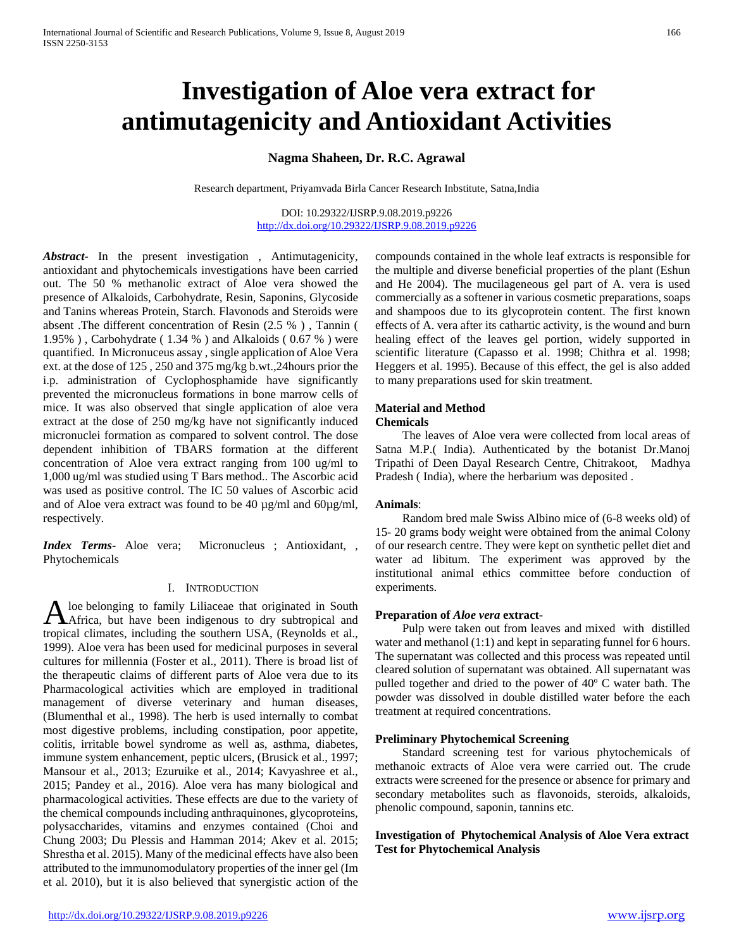# **Investigation of Aloe vera extract for antimutagenicity and Antioxidant Activities**

# **Nagma Shaheen, Dr. R.C. Agrawal**

Research department, Priyamvada Birla Cancer Research Inbstitute, Satna,India

DOI: 10.29322/IJSRP.9.08.2019.p9226 <http://dx.doi.org/10.29322/IJSRP.9.08.2019.p9226>

*Abstract***-** In the present investigation , Antimutagenicity, antioxidant and phytochemicals investigations have been carried out. The 50 % methanolic extract of Aloe vera showed the presence of Alkaloids, Carbohydrate, Resin, Saponins, Glycoside and Tanins whereas Protein, Starch. Flavonods and Steroids were absent .The different concentration of Resin (2.5 % ) , Tannin ( 1.95% ) , Carbohydrate ( 1.34 % ) and Alkaloids ( 0.67 % ) were quantified. In Micronuceus assay , single application of Aloe Vera ext. at the dose of 125 , 250 and 375 mg/kg b.wt.,24hours prior the i.p. administration of Cyclophosphamide have significantly prevented the micronucleus formations in bone marrow cells of mice. It was also observed that single application of aloe vera extract at the dose of 250 mg/kg have not significantly induced micronuclei formation as compared to solvent control. The dose dependent inhibition of TBARS formation at the different concentration of Aloe vera extract ranging from 100 ug/ml to 1,000 ug/ml was studied using T Bars method.. The Ascorbic acid was used as positive control. The IC 50 values of Ascorbic acid and of Aloe vera extract was found to be 40 µg/ml and 60µg/ml, respectively.

*Index Terms*- Aloe vera; Micronucleus ; Antioxidant, , Phytochemicals

#### I. INTRODUCTION

loe belonging to family Liliaceae that originated in South Africa, but have been indigenous to dry subtropical and Aloe belonging to family Liliaceae that originated in South Africa, but have been indigenous to dry subtropical and tropical climates, including the southern USA, (Reynolds et al., 1999). Aloe vera has been used for medicinal purposes in several cultures for millennia (Foster et al., 2011). There is broad list of the therapeutic claims of different parts of Aloe vera due to its Pharmacological activities which are employed in traditional management of diverse veterinary and human diseases, (Blumenthal et al., 1998). The herb is used internally to combat most digestive problems, including constipation, poor appetite, colitis, irritable bowel syndrome as well as, asthma, diabetes, immune system enhancement, peptic ulcers, (Brusick et al., 1997; Mansour et al., 2013; Ezuruike et al., 2014; Kavyashree et al., 2015; Pandey et al., 2016). Aloe vera has many biological and pharmacological activities. These effects are due to the variety of the chemical compounds including anthraquinones, glycoproteins, polysaccharides, vitamins and enzymes contained (Choi and Chung 2003; Du Plessis and Hamman 2014; Akev et al. 2015; Shrestha et al. 2015). Many of the medicinal effects have also been attributed to the immunomodulatory properties of the inner gel (Im et al. 2010), but it is also believed that synergistic action of the

compounds contained in the whole leaf extracts is responsible for the multiple and diverse beneficial properties of the plant (Eshun and He 2004). The mucilageneous gel part of A. vera is used commercially as a softener in various cosmetic preparations, soaps and shampoos due to its glycoprotein content. The first known effects of A. vera after its cathartic activity, is the wound and burn healing effect of the leaves gel portion, widely supported in scientific literature (Capasso et al. 1998; Chithra et al. 1998; Heggers et al. 1995). Because of this effect, the gel is also added to many preparations used for skin treatment.

#### **Material and Method Chemicals**

 The leaves of Aloe vera were collected from local areas of Satna M.P.( India). Authenticated by the botanist Dr.Manoj Tripathi of Deen Dayal Research Centre, Chitrakoot, Madhya Pradesh ( India), where the herbarium was deposited .

# **Animals**:

 Random bred male Swiss Albino mice of (6-8 weeks old) of 15- 20 grams body weight were obtained from the animal Colony of our research centre. They were kept on synthetic pellet diet and water ad libitum. The experiment was approved by the institutional animal ethics committee before conduction of experiments.

# **Preparation of** *Aloe vera* **extract-**

 Pulp were taken out from leaves and mixed with distilled water and methanol (1:1) and kept in separating funnel for 6 hours. The supernatant was collected and this process was repeated until cleared solution of supernatant was obtained. All supernatant was pulled together and dried to the power of 40º C water bath. The powder was dissolved in double distilled water before the each treatment at required concentrations.

#### **Preliminary Phytochemical Screening**

 Standard screening test for various phytochemicals of methanoic extracts of Aloe vera were carried out. The crude extracts were screened for the presence or absence for primary and secondary metabolites such as flavonoids, steroids, alkaloids, phenolic compound, saponin, tannins etc.

# **Investigation of Phytochemical Analysis of Aloe Vera extract Test for Phytochemical Analysis**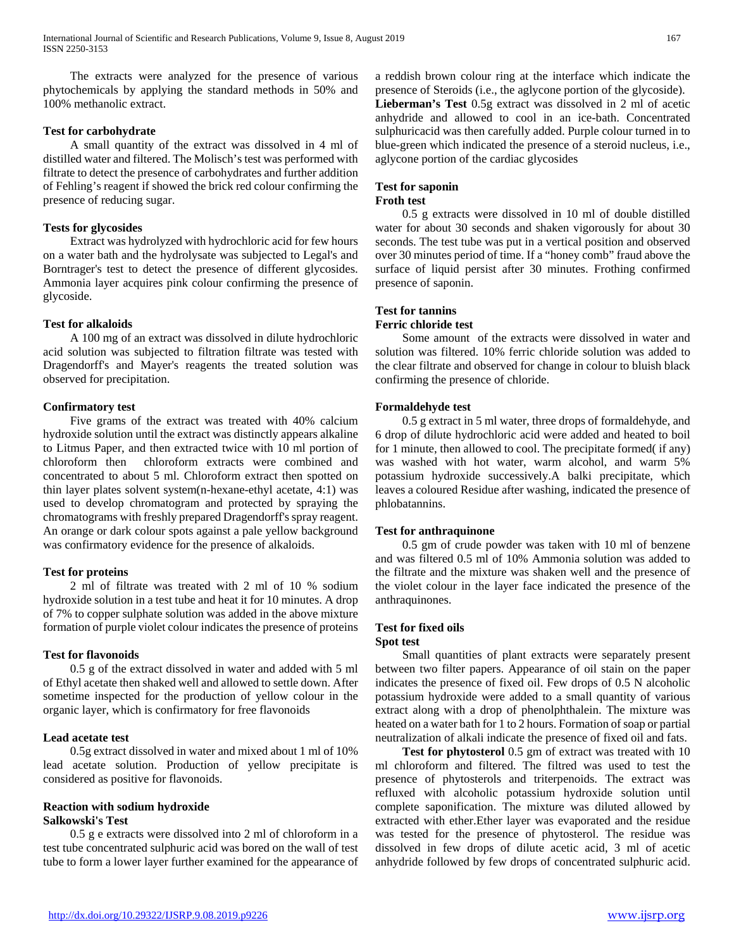The extracts were analyzed for the presence of various phytochemicals by applying the standard methods in 50% and 100% methanolic extract.

# **Test for carbohydrate**

 A small quantity of the extract was dissolved in 4 ml of distilled water and filtered. The Molisch's test was performed with filtrate to detect the presence of carbohydrates and further addition of Fehling's reagent if showed the brick red colour confirming the presence of reducing sugar.

# **Tests for glycosides**

 Extract was hydrolyzed with hydrochloric acid for few hours on a water bath and the hydrolysate was subjected to Legal's and Borntrager's test to detect the presence of different glycosides. Ammonia layer acquires pink colour confirming the presence of glycoside.

# **Test for alkaloids**

 A 100 mg of an extract was dissolved in dilute hydrochloric acid solution was subjected to filtration filtrate was tested with Dragendorff's and Mayer's reagents the treated solution was observed for precipitation.

# **Confirmatory test**

 Five grams of the extract was treated with 40% calcium hydroxide solution until the extract was distinctly appears alkaline to Litmus Paper, and then extracted twice with 10 ml portion of chloroform then chloroform extracts were combined and concentrated to about 5 ml. Chloroform extract then spotted on thin layer plates solvent system(n-hexane-ethyl acetate, 4:1) was used to develop chromatogram and protected by spraying the chromatograms with freshly prepared Dragendorff's spray reagent. An orange or dark colour spots against a pale yellow background was confirmatory evidence for the presence of alkaloids.

# **Test for proteins**

 2 ml of filtrate was treated with 2 ml of 10 % sodium hydroxide solution in a test tube and heat it for 10 minutes. A drop of 7% to copper sulphate solution was added in the above mixture formation of purple violet colour indicates the presence of proteins

# **Test for flavonoids**

 0.5 g of the extract dissolved in water and added with 5 ml of Ethyl acetate then shaked well and allowed to settle down. After sometime inspected for the production of yellow colour in the organic layer, which is confirmatory for free flavonoids

# **Lead acetate test**

 0.5g extract dissolved in water and mixed about 1 ml of 10% lead acetate solution. Production of yellow precipitate is considered as positive for flavonoids.

# **Reaction with sodium hydroxide Salkowski's Test**

 0.5 g e extracts were dissolved into 2 ml of chloroform in a test tube concentrated sulphuric acid was bored on the wall of test tube to form a lower layer further examined for the appearance of a reddish brown colour ring at the interface which indicate the presence of Steroids (i.e., the aglycone portion of the glycoside). **Lieberman's Test** 0.5g extract was dissolved in 2 ml of acetic anhydride and allowed to cool in an ice-bath. Concentrated sulphuricacid was then carefully added. Purple colour turned in to blue-green which indicated the presence of a steroid nucleus, i.e., aglycone portion of the cardiac glycosides

#### **Test for saponin Froth test**

 0.5 g extracts were dissolved in 10 ml of double distilled water for about 30 seconds and shaken vigorously for about 30 seconds. The test tube was put in a vertical position and observed over 30 minutes period of time. If a "honey comb" fraud above the surface of liquid persist after 30 minutes. Frothing confirmed presence of saponin.

# **Test for tannins**

# **Ferric chloride test**

 Some amount of the extracts were dissolved in water and solution was filtered. 10% ferric chloride solution was added to the clear filtrate and observed for change in colour to bluish black confirming the presence of chloride.

# **Formaldehyde test**

 0.5 g extract in 5 ml water, three drops of formaldehyde, and 6 drop of dilute hydrochloric acid were added and heated to boil for 1 minute, then allowed to cool. The precipitate formed( if any) was washed with hot water, warm alcohol, and warm 5% potassium hydroxide successively.A balki precipitate, which leaves a coloured Residue after washing, indicated the presence of phlobatannins.

# **Test for anthraquinone**

 0.5 gm of crude powder was taken with 10 ml of benzene and was filtered 0.5 ml of 10% Ammonia solution was added to the filtrate and the mixture was shaken well and the presence of the violet colour in the layer face indicated the presence of the anthraquinones.

#### **Test for fixed oils Spot test**

 Small quantities of plant extracts were separately present between two filter papers. Appearance of oil stain on the paper indicates the presence of fixed oil. Few drops of 0.5 N alcoholic potassium hydroxide were added to a small quantity of various extract along with a drop of phenolphthalein. The mixture was heated on a water bath for 1 to 2 hours. Formation of soap or partial neutralization of alkali indicate the presence of fixed oil and fats.

 **Test for phytosterol** 0.5 gm of extract was treated with 10 ml chloroform and filtered. The filtred was used to test the presence of phytosterols and triterpenoids. The extract was refluxed with alcoholic potassium hydroxide solution until complete saponification. The mixture was diluted allowed by extracted with ether.Ether layer was evaporated and the residue was tested for the presence of phytosterol. The residue was dissolved in few drops of dilute acetic acid, 3 ml of acetic anhydride followed by few drops of concentrated sulphuric acid.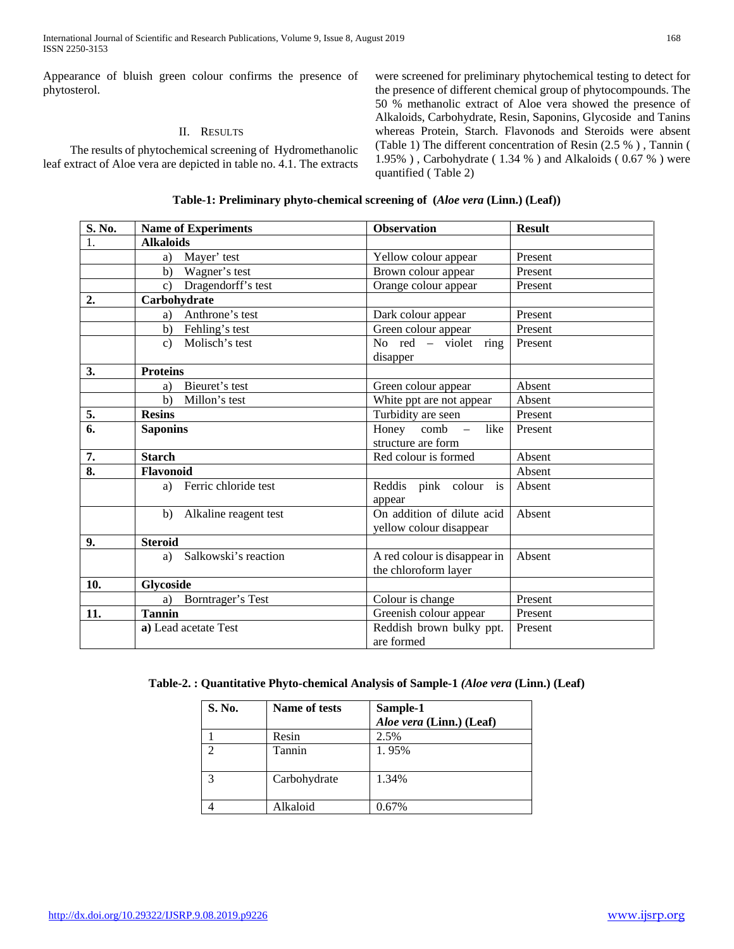Appearance of bluish green colour confirms the presence of phytosterol.

### II. RESULTS

 The results of phytochemical screening of Hydromethanolic leaf extract of Aloe vera are depicted in table no. 4.1. The extracts were screened for preliminary phytochemical testing to detect for the presence of different chemical group of phytocompounds. The 50 % methanolic extract of Aloe vera showed the presence of Alkaloids, Carbohydrate, Resin, Saponins, Glycoside and Tanins whereas Protein, Starch. Flavonods and Steroids were absent (Table 1) The different concentration of Resin (2.5 % ) , Tannin ( 1.95% ) , Carbohydrate ( 1.34 % ) and Alkaloids ( 0.67 % ) were quantified ( Table 2)

| Table-1: Preliminary phyto-chemical screening of (Aloe vera (Linn.) (Leaf)) |  |  |  |  |
|-----------------------------------------------------------------------------|--|--|--|--|
|-----------------------------------------------------------------------------|--|--|--|--|

| S. No. | <b>Name of Experiments</b>           | <b>Observation</b>                                    | <b>Result</b> |
|--------|--------------------------------------|-------------------------------------------------------|---------------|
| 1.     | <b>Alkaloids</b>                     |                                                       |               |
|        | Mayer' test<br>a)                    | Yellow colour appear                                  | Present       |
|        | Wagner's test<br>b)                  | Brown colour appear                                   | Present       |
|        | Dragendorff's test<br>$\mathbf{c}$ ) | Orange colour appear                                  | Present       |
| 2.     | Carbohydrate                         |                                                       |               |
|        | Anthrone's test<br>a)                | Dark colour appear                                    | Present       |
|        | b) Fehling's test                    | Green colour appear                                   | Present       |
|        | Molisch's test<br>$\mathbf{c}$ )     | $\overline{No}$ red – violet ring<br>disapper         | Present       |
| 3.     | <b>Proteins</b>                      |                                                       |               |
|        | Bieuret's test<br>a)                 | Green colour appear                                   | Absent        |
|        | Millon's test<br>$\mathbf{b}$        | White ppt are not appear                              | Absent        |
| 5.     | <b>Resins</b>                        | Turbidity are seen                                    | Present       |
| 6.     | <b>Saponins</b>                      | like<br>Honey $comb$ –                                | Present       |
|        |                                      | structure are form                                    |               |
| 7.     | <b>Starch</b>                        | Red colour is formed                                  | Absent        |
| 8.     | <b>Flavonoid</b>                     |                                                       | Absent        |
|        | a) Ferric chloride test              | Reddis pink colour is<br>appear                       | Absent        |
|        | b) Alkaline reagent test             | On addition of dilute acid<br>yellow colour disappear | Absent        |
| 9.     | <b>Steroid</b>                       |                                                       |               |
|        | Salkowski's reaction<br>a)           | A red colour is disappear in<br>the chloroform layer  | Absent        |
| 10.    | Glycoside                            |                                                       |               |
|        | Borntrager's Test<br>a)              | Colour is change                                      | Present       |
| 11.    | <b>Tannin</b>                        | Greenish colour appear                                | Present       |
|        | a) Lead acetate Test                 | Reddish brown bulky ppt.<br>are formed                | Present       |

**Table-2. : Quantitative Phyto-chemical Analysis of Sample-1** *(Aloe vera* **(Linn.) (Leaf)**

| <b>S. No.</b> | Name of tests | Sample-1<br>Aloe vera (Linn.) (Leaf) |
|---------------|---------------|--------------------------------------|
|               | Resin         | 2.5%                                 |
|               | Tannin        | 1.95%                                |
| 3             | Carbohydrate  | 1.34%                                |
|               | Alkaloid      | 0.67%                                |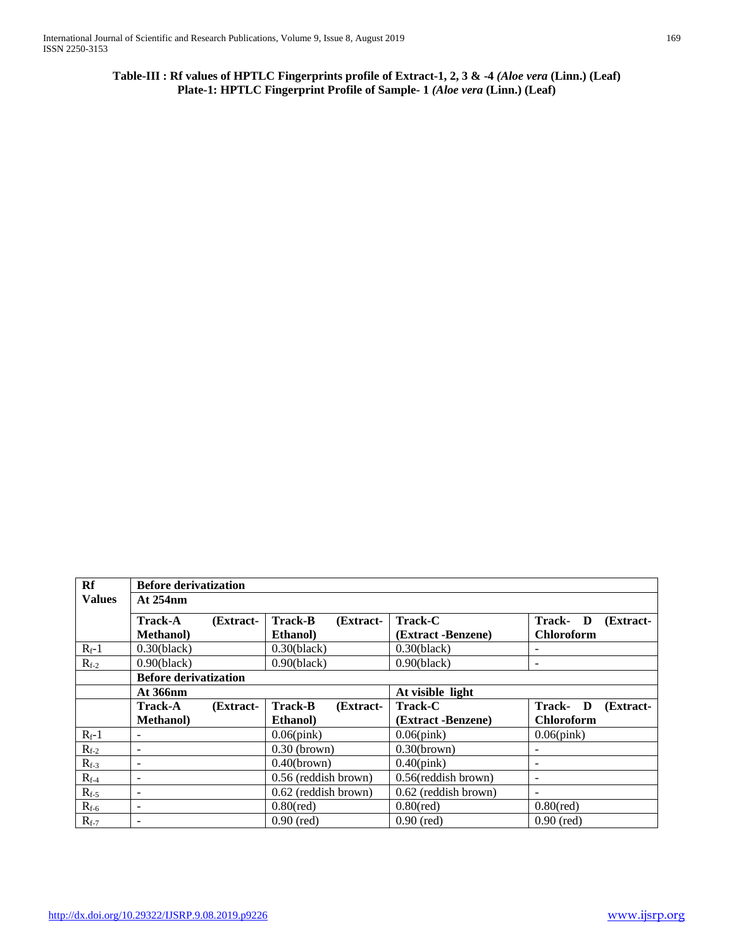**Table-III : Rf values of HPTLC Fingerprints profile of Extract-1, 2, 3 & -4** *(Aloe vera* **(Linn.) (Leaf) Plate-1: HPTLC Fingerprint Profile of Sample- 1** *(Aloe vera* **(Linn.) (Leaf)**

| Rf            | <b>Before derivatization</b> |           |                             |                      |                                 |
|---------------|------------------------------|-----------|-----------------------------|----------------------|---------------------------------|
| <b>Values</b> | At 254nm                     |           |                             |                      |                                 |
|               | <b>Track-A</b>               | (Extract- | <b>Track-B</b><br>(Extract- | <b>Track-C</b>       | <b>Track-</b><br>D<br>(Extract- |
|               | <b>Methanol</b> )            |           | Ethanol)                    | (Extract -Benzene)   | <b>Chloroform</b>               |
| $R_f-1$       | $0.30$ (black)               |           | $0.30$ (black)              | $0.30$ (black)       |                                 |
| $R_{f-2}$     | $0.90$ (black)               |           | $0.90$ (black)              | $0.90$ (black)       | ۰                               |
|               | <b>Before derivatization</b> |           |                             |                      |                                 |
|               | At 366nm                     |           |                             | At visible light     |                                 |
|               | <b>Track-A</b>               | (Extract- | <b>Track-B</b><br>(Extract- | <b>Track-C</b>       | <b>Track-</b><br>D<br>(Extract- |
|               | <b>Methanol</b> )            |           | <b>Ethanol</b> )            | (Extract -Benzene)   | <b>Chloroform</b>               |
| $R_f-1$       |                              |           | $0.06$ (pink)               | $0.06$ (pink)        | $0.06$ (pink)                   |
| $R_{f-2}$     |                              |           | $0.30$ (brown)              | 0.30(brown)          |                                 |
| $R_{f-3}$     | $\qquad \qquad \blacksquare$ |           | $0.40$ (brown)              | $0.40$ (pink)        |                                 |
| $R_{f-4}$     | $\overline{\phantom{0}}$     |           | 0.56 (reddish brown)        | 0.56(reddish brown)  | ۰                               |
| $R_{f-5}$     | $\overline{\phantom{0}}$     |           | 0.62 (reddish brown)        | 0.62 (reddish brown) | ۰                               |
| $R_{f-6}$     | ۰                            |           | $0.80$ (red)                | $0.80$ (red)         | $0.80$ (red)                    |
| $R_{f-7}$     | $\overline{\phantom{a}}$     |           | $0.90$ (red)                | $0.90$ (red)         | $0.90$ (red)                    |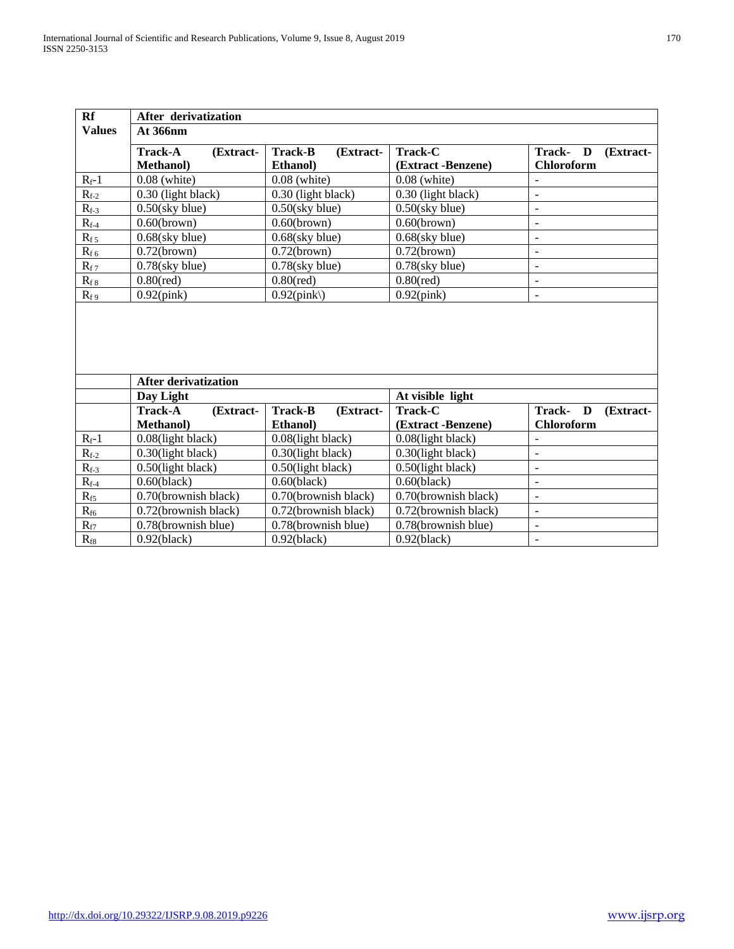| Rf            | After derivatization        |                             |                    |                                 |
|---------------|-----------------------------|-----------------------------|--------------------|---------------------------------|
| <b>Values</b> | At 366nm                    |                             |                    |                                 |
|               | <b>Track-A</b><br>(Extract- | (Extract-<br><b>Track-B</b> | <b>Track-C</b>     | <b>Track-</b><br>(Extract-<br>D |
|               | <b>Methanol</b> )           | <b>Ethanol</b> )            | (Extract -Benzene) | <b>Chloroform</b>               |
| $R_f-1$       | $0.08$ (white)              | $0.08$ (white)              | $0.08$ (white)     | -                               |
| $R_{f-2}$     | 0.30 (light black)          | 0.30 (light black)          | 0.30 (light black) | -                               |
| $R_{f-3}$     | $0.50$ (sky blue)           | $0.50$ (sky blue)           | $0.50$ (sky blue)  | ۰                               |
| $R_{f-4}$     | 0.60(brown)                 | 0.60(brown)                 | 0.60(brown)        |                                 |
| $R_{f,5}$     | $0.68$ (sky blue)           | $0.68$ (sky blue)           | $0.68$ (sky blue)  | ۰                               |
| $R_{f6}$      | 0.72(brown)                 | $0.72$ (brown)              | $0.72$ (brown)     |                                 |
| $R_{f7}$      | $0.78$ (sky blue)           | $0.78$ (sky blue)           | $0.78$ (sky blue)  | $\qquad \qquad \blacksquare$    |
| $R_{f8}$      | $0.80$ (red)                | $0.80$ (red)                | $0.80$ (red)       | ۰                               |
| $R_{f9}$      | $0.92$ (pink)               | $0.92$ (pink))              | $0.92$ (pink)      |                                 |

|              | <b>After derivatization</b> |                             |                      |                                 |
|--------------|-----------------------------|-----------------------------|----------------------|---------------------------------|
|              | Day Light                   |                             | At visible light     |                                 |
|              | <b>Track-A</b><br>(Extract- | <b>Track-B</b><br>(Extract- | <b>Track-C</b>       | <b>Track-</b><br>(Extract-<br>D |
|              | <b>Methanol</b> )           | Ethanol)                    | (Extract -Benzene)   | <b>Chloroform</b>               |
| $R_f-1$      | 0.08(light black)           | 0.08(light black)           | 0.08(light black)    |                                 |
| $R_{f-2}$    | 0.30(light black)           | $0.30$ (light black)        | 0.30(light black)    |                                 |
| $R_{f-3}$    | $0.50$ (light black)        | $0.50$ (light black)        | $0.50$ (light black) |                                 |
| $R_{f-4}$    | $0.60$ (black)              | $0.60$ (black)              | $0.60$ (black)       |                                 |
| $R_{f5}$     | 0.70(brownish black)        | 0.70(brownish black)        | 0.70(brownish black) |                                 |
| $R_{\rm f6}$ | 0.72(brownish black)        | 0.72(brownish black)        | 0.72(brownish black) |                                 |
| $R_{f7}$     | 0.78(brownish blue)         | 0.78(brownish blue)         | 0.78(brownish blue)  |                                 |
| $R_{f8}$     | $0.92$ (black)              | $0.92$ (black)              | $0.92$ (black)       | ٠                               |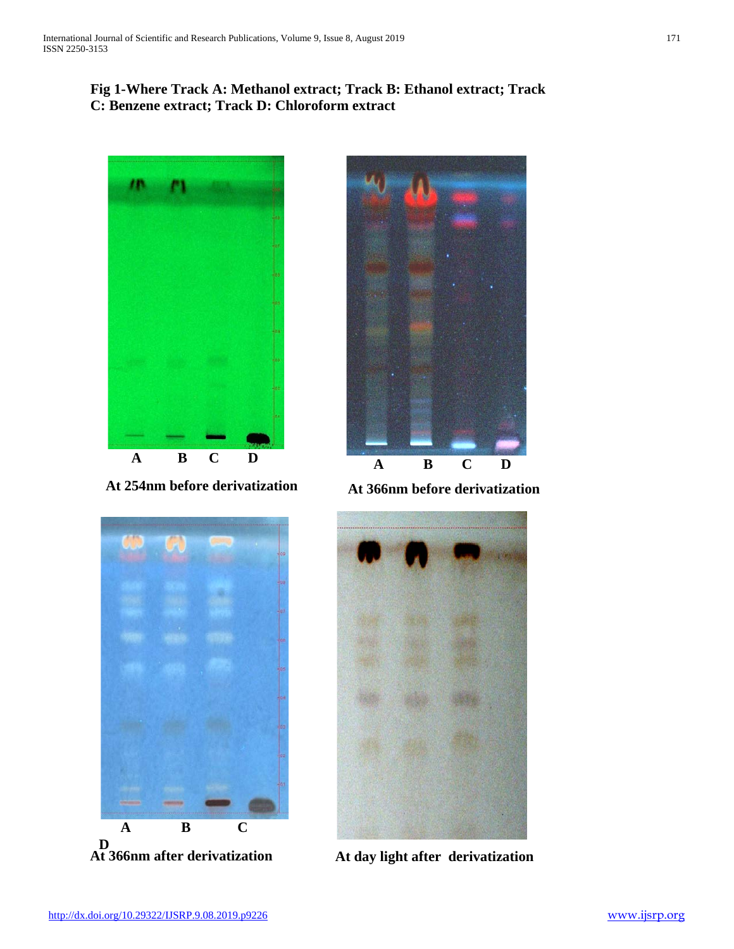# **Fig 1-Where Track A: Methanol extract; Track B: Ethanol extract; Track C: Benzene extract; Track D: Chloroform extract**



**At 254nm before derivatization At 366nm before derivatization**





D<br>At 366nm after derivatization



At day light after derivatization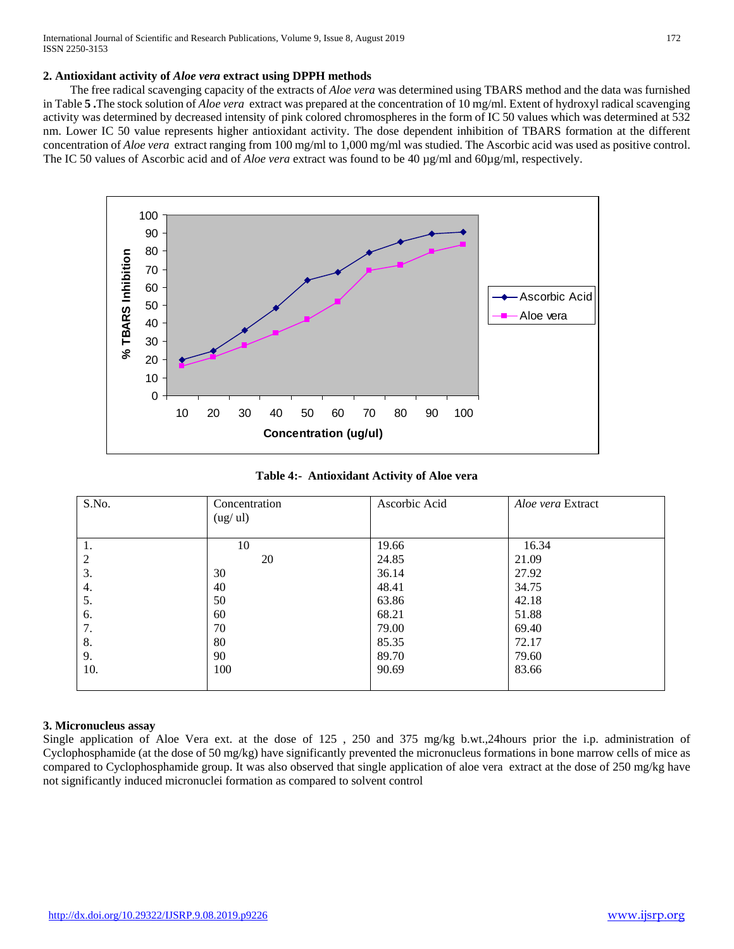# **2. Antioxidant activity of** *Aloe vera* **extract using DPPH methods**

 The free radical scavenging capacity of the extracts of *Aloe vera* was determined using TBARS method and the data was furnished in Table **5 .**The stock solution of *Aloe vera* extract was prepared at the concentration of 10 mg/ml. Extent of hydroxyl radical scavenging activity was determined by decreased intensity of pink colored chromospheres in the form of IC 50 values which was determined at 532 nm. Lower IC 50 value represents higher antioxidant activity. The dose dependent inhibition of TBARS formation at the different concentration of *Aloe vera* extract ranging from 100 mg/ml to 1,000 mg/ml was studied. The Ascorbic acid was used as positive control. The IC 50 values of Ascorbic acid and of *Aloe vera* extract was found to be 40 µg/ml and 60µg/ml, respectively.



**Table 4:- Antioxidant Activity of Aloe vera**

| S.No. | Concentration<br>(ug/ ul) | Ascorbic Acid | <i>Aloe vera</i> Extract |
|-------|---------------------------|---------------|--------------------------|
| 1.    | 10                        | 19.66         | 16.34                    |
| 2     | 20                        | 24.85         | 21.09                    |
| 3.    | 30                        | 36.14         | 27.92                    |
| 4.    | 40                        | 48.41         | 34.75                    |
| 5.    | 50                        | 63.86         | 42.18                    |
| 6.    | 60                        | 68.21         | 51.88                    |
| 7.    | 70                        | 79.00         | 69.40                    |
| 8.    | 80                        | 85.35         | 72.17                    |
| 9.    | 90                        | 89.70         | 79.60                    |
| 10.   | 100                       | 90.69         | 83.66                    |
|       |                           |               |                          |

# **3. Micronucleus assay**

Single application of Aloe Vera ext. at the dose of 125 , 250 and 375 mg/kg b.wt.,24hours prior the i.p. administration of Cyclophosphamide (at the dose of 50 mg/kg) have significantly prevented the micronucleus formations in bone marrow cells of mice as compared to Cyclophosphamide group. It was also observed that single application of aloe vera extract at the dose of 250 mg/kg have not significantly induced micronuclei formation as compared to solvent control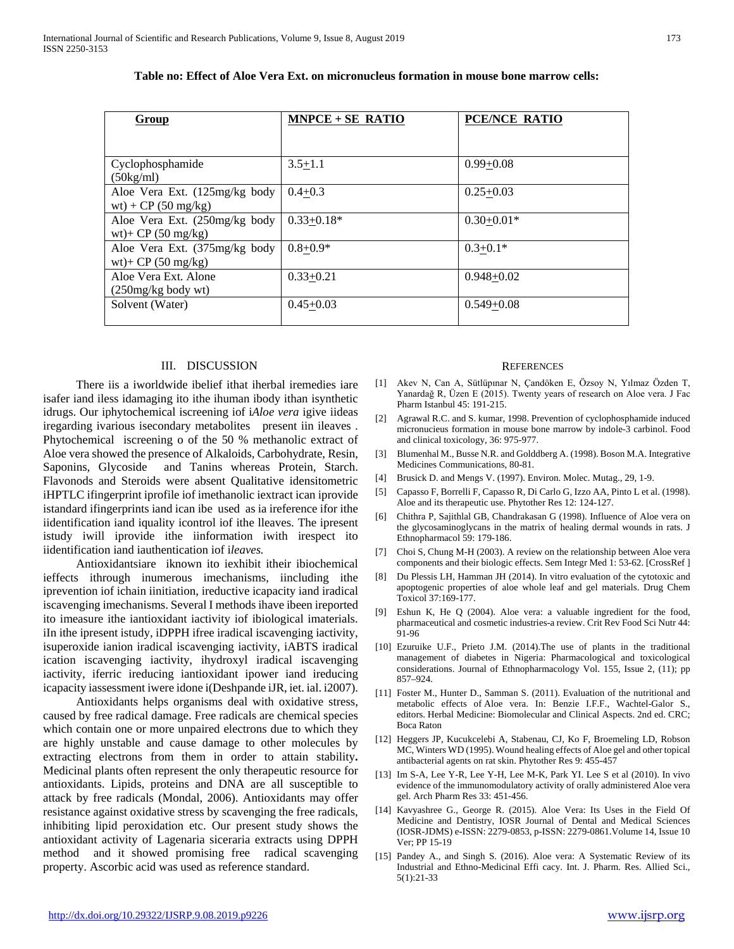| Group                                                   | $MNECE + SE RATIO$ | <b>PCE/NCE RATIO</b> |
|---------------------------------------------------------|--------------------|----------------------|
|                                                         |                    |                      |
| Cyclophosphamide<br>$(50\text{kg/ml})$                  | $3.5 + 1.1$        | $0.99 + 0.08$        |
| Aloe Vera Ext. (125mg/kg body<br>$wt$ ) + CP (50 mg/kg) | $0.4 + 0.3$        | $0.25 + 0.03$        |
| Aloe Vera Ext. (250mg/kg body<br>wt $)+$ CP (50 mg/kg)  | $0.33+0.18*$       | $0.30 + 0.01*$       |
| Aloe Vera Ext. (375mg/kg body<br>$wt$ + CP (50 mg/kg)   | $0.8 + 0.9*$       | $0.3+0.1*$           |
| Aloe Vera Ext. Alone<br>$(250mg/kg$ body wt)            | $0.33 + 0.21$      | $0.948 + 0.02$       |
| Solvent (Water)                                         | $0.45 + 0.03$      | $0.549 + 0.08$       |

#### **Table no: Effect of Aloe Vera Ext. on micronucleus formation in mouse bone marrow cells:**

#### III. DISCUSSION

 There iis a iworldwide ibelief ithat iherbal iremedies iare isafer iand iless idamaging ito ithe ihuman ibody ithan isynthetic idrugs. Our iphytochemical iscreening iof i*Aloe vera* igive iideas iregarding ivarious isecondary metabolites present iin ileaves . Phytochemical iscreening o of the 50 % methanolic extract of Aloe vera showed the presence of Alkaloids, Carbohydrate, Resin, Saponins, Glycoside and Tanins whereas Protein, Starch. Flavonods and Steroids were absent Qualitative idensitometric iHPTLC ifingerprint iprofile iof imethanolic iextract ican iprovide istandard ifingerprints iand ican ibe used as ia ireference ifor ithe iidentification iand iquality icontrol iof ithe lleaves. The ipresent istudy iwill iprovide ithe iinformation iwith irespect ito iidentification iand iauthentication iof i*leaves.*

 Antioxidantsiare iknown ito iexhibit itheir ibiochemical ieffects ithrough inumerous imechanisms, iincluding ithe iprevention iof ichain iinitiation, ireductive icapacity iand iradical iscavenging imechanisms. Several I methods ihave ibeen ireported ito imeasure ithe iantioxidant iactivity iof ibiological imaterials. iIn ithe ipresent istudy, iDPPH ifree iradical iscavenging iactivity, isuperoxide ianion iradical iscavenging iactivity, iABTS iradical ication iscavenging iactivity, ihydroxyl iradical iscavenging iactivity, iferric ireducing iantioxidant ipower iand ireducing icapacity iassessment iwere idone i(Deshpande iJR, iet. ial. i2007).

 Antioxidants helps organisms deal with oxidative stress, caused by free radical damage. Free radicals are chemical species which contain one or more unpaired electrons due to which they are highly unstable and cause damage to other molecules by extracting electrons from them in order to attain stability**.** Medicinal plants often represent the only therapeutic resource for antioxidants. Lipids, proteins and DNA are all susceptible to attack by free radicals (Mondal, 2006). Antioxidants may offer resistance against oxidative stress by scavenging the free radicals, inhibiting lipid peroxidation etc. Our present study shows the antioxidant activity of Lagenaria siceraria extracts using DPPH method and it showed promising free radical scavenging property. Ascorbic acid was used as reference standard.

#### **REFERENCES**

- [1] Akev N, Can A, Sütlüpınar N, Çandöken E, Özsoy N, Yılmaz Özden T, Yanardağ R, Üzen E (2015). Twenty years of research on Aloe vera. J Fac Pharm Istanbul 45: 191-215.
- [2] Agrawal R.C. and S. kumar, 1998. Prevention of cyclophosphamide induced micronucieus formation in mouse bone marrow by indole-3 carbinol. Food and clinical toxicology, 36: 975-977.
- [3] Blumenhal M., Busse N.R. and Golddberg A. (1998). Boson M.A. Integrative Medicines Communications, 80-81.
- [4] Brusick D. and Mengs V. (1997). Environ. Molec. Mutag., 29, 1-9.
- [5] Capasso F, Borrelli F, Capasso R, Di Carlo G, Izzo AA, Pinto L et al. (1998). Aloe and its therapeutic use. Phytother Res 12: 124-127.
- [6] Chithra P, Sajithlal GB, Chandrakasan G (1998). Influence of Aloe vera on the glycosaminoglycans in the matrix of healing dermal wounds in rats. J Ethnopharmacol 59: 179-186.
- [7] Choi S, Chung M-H (2003). A review on the relationship between Aloe vera components and their biologic effects. Sem Integr Med 1: 53-62. [CrossRef ]
- [8] Du Plessis LH, Hamman JH (2014). In vitro evaluation of the cytotoxic and apoptogenic properties of aloe whole leaf and gel materials. Drug Chem Toxicol 37:169-177.
- [9] Eshun K, He Q (2004). Aloe vera: a valuable ingredient for the food, pharmaceutical and cosmetic industries-a review. Crit Rev Food Sci Nutr 44: 91-96
- [10] Ezuruike U.F., Prieto J.M. (2014).The use of plants in the traditional management of diabetes in Nigeria: Pharmacological and toxicological considerations. Journal of Ethnopharmacology Vol. 155, Issue 2, (11); pp 857–924.
- [11] Foster M., Hunter D., Samman S. (2011). Evaluation of the nutritional and metabolic effects of Aloe vera. In: Benzie I.F.F., Wachtel-Galor S., editors. Herbal Medicine: Biomolecular and Clinical Aspects. 2nd ed. CRC; Boca Raton
- [12] Heggers JP, Kucukcelebi A, Stabenau, CJ, Ko F, Broemeling LD, Robson MC, Winters WD (1995). Wound healing effects of Aloe gel and other topical antibacterial agents on rat skin. Phytother Res 9: 455-457
- [13] Im S-A, Lee Y-R, Lee Y-H, Lee M-K, Park YI. Lee S et al (2010). In vivo evidence of the immunomodulatory activity of orally administered Aloe vera gel. Arch Pharm Res 33: 451-456.
- [14] Kavyashree G., George R. (2015). Aloe Vera: Its Uses in the Field Of Medicine and Dentistry, IOSR Journal of Dental and Medical Sciences (IOSR-JDMS) e-ISSN: 2279-0853, p-ISSN: 2279-0861.Volume 14, Issue 10 Ver; PP 15-19
- [15] Pandey A., and Singh S. (2016). Aloe vera: A Systematic Review of its Industrial and Ethno-Medicinal Effi cacy. Int. J. Pharm. Res. Allied Sci., 5(1):21-33